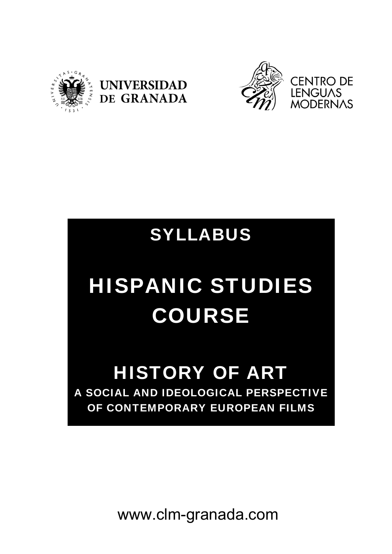





## SYLLABUS

# HISPANIC STUDIES COURSE

### HISTORY OF ART A SOCIAL AND IDEOLOGICAL PERSPECTIVE OF CONTEMPORARY EUROPEAN FILMS

www.clm-granada.com